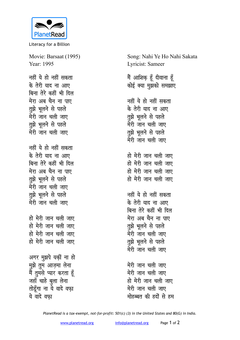

Literacy for a Billion

Movie: Barsaat (1995) Year: 1995

<u>नहीं ये हो नहीं सकता</u> के तेरी याद ना आए <u>बिना तेरे कहीं भी दिल</u> <u>मेरा अब चैन ना पाए</u> <u>तू</u>झे भूलने से पहले मेरी जान चली जाए **तुझे भूलने से पहले** मेरी जान चली जाए

**नहीं ये हो नहीं सकता**  $\dot{a}$  तेरी याद ना आए बिना तेरे कहीं भी दिल <u>मेरा अब चैन ना पाए</u> **तूझे भूलने से पहले** मेरी जान चली जाए **तूझे** भूलने से पहले मेरी जान चली जाए

हो मेरी जान चली जाए हो मेरी जान चली जाए हो मेरी जान चली जाए हो मेरी जान चली जाए

अगर मुझपे यकीं ना हो मुझे तुम आज़मा लेना <u>मैं तु</u>मसे प्यार करता हूँ जहाँ चाहे <u>ब</u>ुला लेना **तोडूँगा ना** ये वादे वफ़ा ये वादे वफा

Song: Nahi Ye Ho Nahi Sakata Lyricist: Sameer

<u>मैं आशिक़ हूँ</u> दीवाना हूँ कोई क्या मुझको समझाए

नहीं ये हो नहीं सकता के तेरी याद ना आए **तूझे** भूलने से पहले मेरी जान चली जाए **तूझे भूलने से पहले** मेरी जान चली जाए

हो मेरी जान चली जाए हो मेरी जान चली जाए हो मेरी जान चली जाए हो मेरी जान चली जाए

नहीं ये हो नहीं सकता के तेरी याद ना आए बिना तेरे कहीं भी दिल <u>मेरा अब चैन ना पाए</u> **तुझे भूलने से पहले** मेरी जान चली जाए **तूझे भूलने से पहले** मेरी जान चली जाए

मेरी जान चली जाए मेरी जान चली जाए हो मेरी जान चली जाए मेरी जान चली जाए <u>मोहब्बत की हदों से हम</u>

*PlanetRead is a tax-exempt, not-for-profit: 501(c) (3) in the United States and 80(G) in India.*